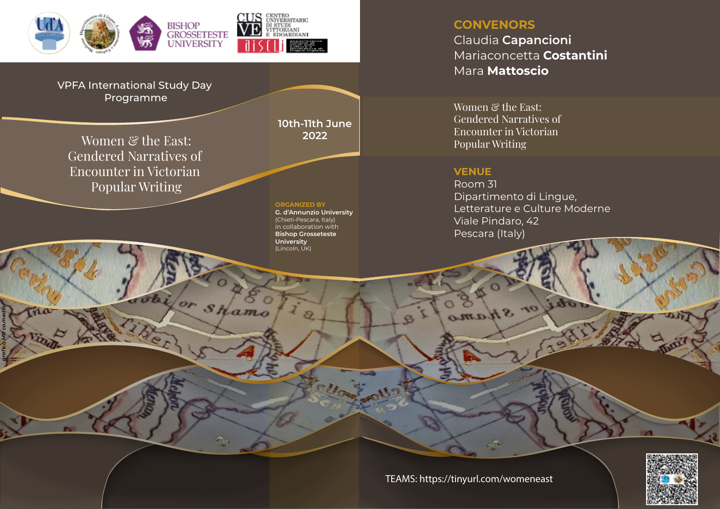

VPFA International Study Day Programme

**2022** Women & the East: Gendered Narratives of Encounter in Victorian Popular Writing

*grafica MR co.media*

**10th-11th June**

**ORGANIZED BY**

 $s$ *Hamo* 

**G. d'Annunzio University** (Chieti-Pescara, Italy) in collaboration with **Bishop Grosseteste University** (Lincoln, UK)

# **CONVENORS** Claudia **Capancioni** Mariaconcetta **Costantini** Mara **Mattoscio**

Women & the East: Gendered Narratives of Encounter in Victorian Popular Writing

### **VENUE**

SHamo

Room 31 Dipartimento di Lingue, Letterature e Culture Moderne Viale Pindaro, 42 Pescara (Italy)



TEAMS: https://tinyurl.com/womeneast